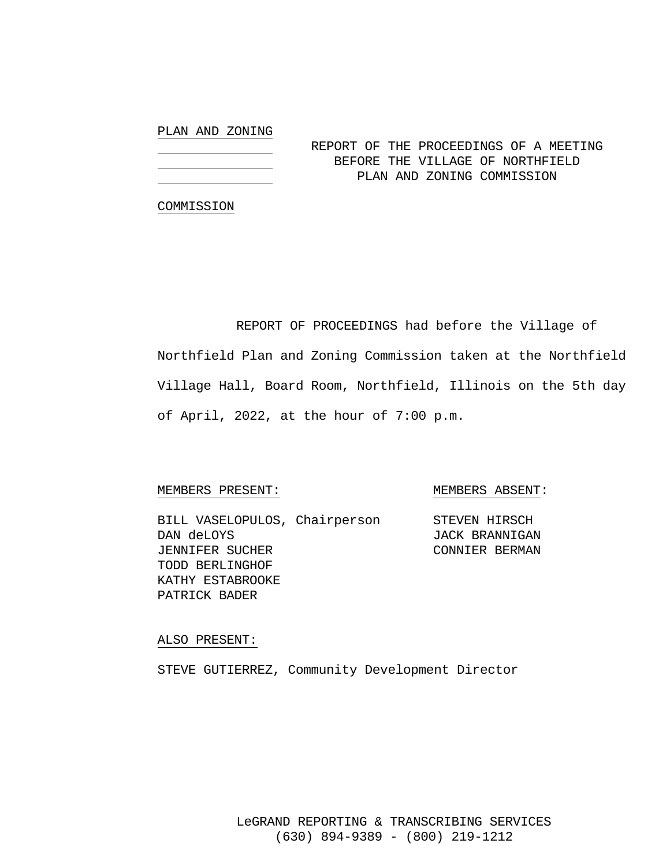## PLAN AND ZONING

# REPORT OF THE PROCEEDINGS OF A MEETING BEFORE THE VILLAGE OF NORTHFIELD PLAN AND ZONING COMMISSION

#### COMMISSION

 REPORT OF PROCEEDINGS had before the Village of Northfield Plan and Zoning Commission taken at the Northfield Village Hall, Board Room, Northfield, Illinois on the 5th day of April, 2022, at the hour of 7:00 p.m.

### MEMBERS PRESENT: MEMBERS ABSENT:

BILL VASELOPULOS, Chairperson STEVEN HIRSCH DAN deLOYS JACK BRANNIGAN JENNIFER SUCHER CONNIER BERMAN TODD BERLINGHOF KATHY ESTABROOKE PATRICK BADER

#### ALSO PRESENT:

STEVE GUTIERREZ, Community Development Director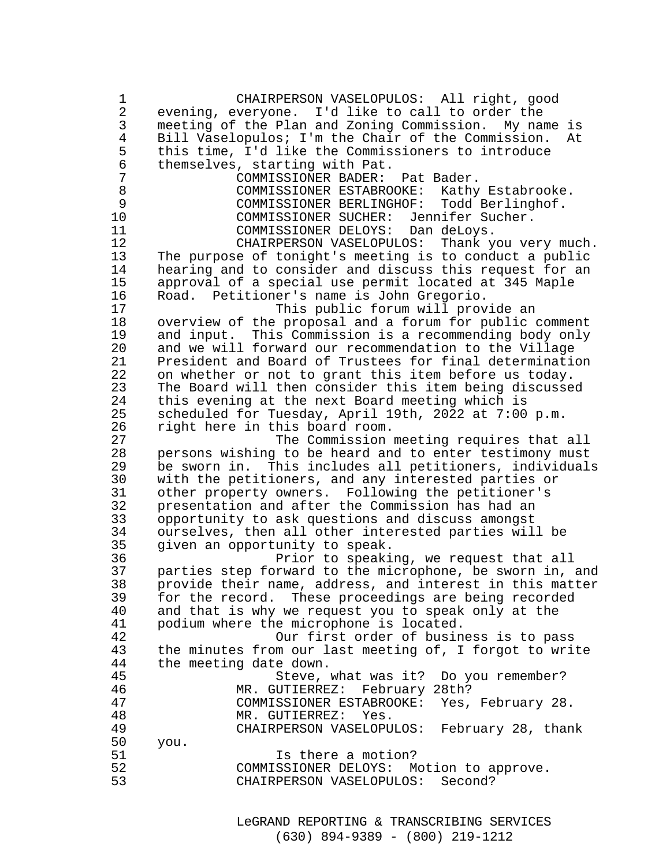1 CHAIRPERSON VASELOPULOS: All right, good 2 evening, everyone. I'd like to call to order the 3 meeting of the Plan and Zoning Commission. My name is<br>4 Bill Vaselopulos; I'm the Chair of the Commission. At 4 Bill Vaselopulos; I'm the Chair of the Commission. At<br>5 this time, I'd like the Commissioners to introduce 5 this time, I'd like the Commissioners to introduce 6 themselves, starting with Pat. 7 COMMISSIONER BADER: Pat Bader. 8 COMMISSIONER ESTABROOKE: Kathy Estabrooke.<br>9 COMMISSIONER BERLINGHOF: Todd Berlinghof. 9 COMMISSIONER BERLINGHOF: Todd Berlinghof.  $COMMISSIONER$  SUCHER: 11 COMMISSIONER DELOYS: Dan deLoys. CHAIRPERSON VASELOPULOS: Thank you very much. 13 The purpose of tonight's meeting is to conduct a public 14 hearing and to consider and discuss this request for an 15 approval of a special use permit located at 345 Maple 16 Road. Petitioner's name is John Gregorio. 17 This public forum will provide an<br>18 Overview of the proposal and a forum for public 18 overview of the proposal and a forum for public comment 19 and input. This Commission is a recommending body only 20 and we will forward our recommendation to the Village 21 President and Board of Trustees for final determination<br>22 on whether or not to grant this item before us today. 22 on whether or not to grant this item before us today.<br>23 The Board will then consider this item being discusse The Board will then consider this item being discussed 24 this evening at the next Board meeting which is 25 scheduled for Tuesday, April 19th, 2022 at 7:00 p.m. 26 right here in this board room.<br>27 The Commission 27 The Commission meeting requires that all<br>28 Dersons wishing to be heard and to enter testimony must 28 persons wishing to be heard and to enter testimony must 29 be sworn in. This includes all petitioners, individuals<br>30 with the petitioners, and any interested parties or 30 with the petitioners, and any interested parties or 31 other property owners. Following the petitioner's 32 presentation and after the Commission has had an<br>33 opportunity to ask questions and discuss amongst 33 opportunity to ask questions and discuss amongst 34 ourselves, then all other interested parties will be 35 given an opportunity to speak. 36 Prior to speaking, we request that all<br>37 parties step forward to the microphone, be sworn in, 37 parties step forward to the microphone, be sworn in, and 38 provide their name, address, and interest in this matter 39 for the record. These proceedings are being recorded<br>40 and that is why we request you to speak only at the 40 and that is why we request you to speak only at the<br>41 bodium where the microphone is located. 41 podium where the microphone is located.<br>42 001 001 001 001 001 015 016 016 016 42 Our first order of business is to pass 43 the minutes from our last meeting of, I forgot to write<br>44 the meeting date down. 44 the meeting date down.<br>45 Steve, Steve, what was it? Do you remember? 46 MR. GUTIERREZ: February 28th? 47 COMMISSIONER ESTABROOKE: Yes, February 28. 48 MR. GUTIERREZ: Yes. 49 CHAIRPERSON VASELOPULOS: February 28, thank 50 you. 51 Is there a motion?<br>52 COMMISSIONER DELOYS: Motion to approve. 52 COMMISSIONER DELOYS: Motion to approve. CHAIRPERSON VASELOPULOS: Second?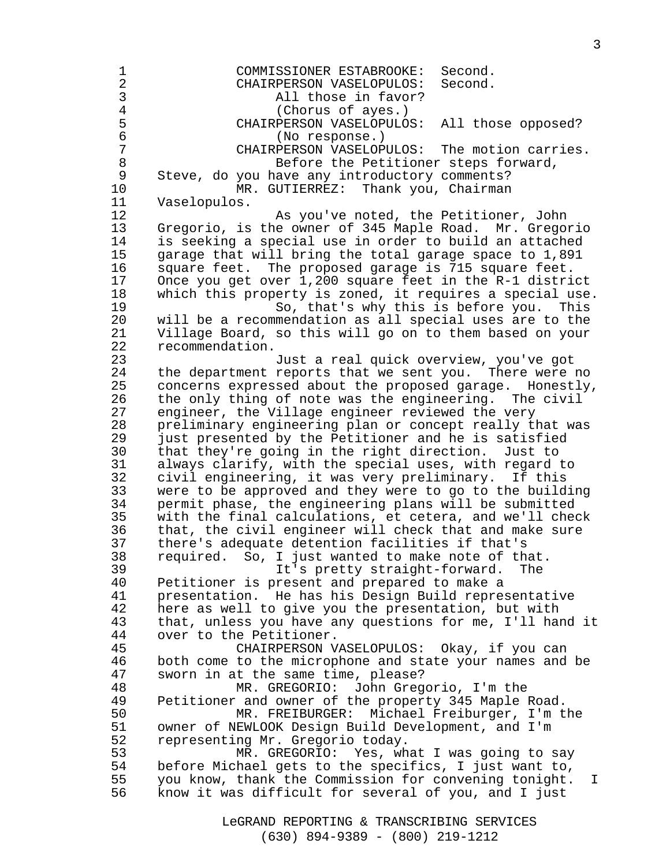1 COMMISSIONER ESTABROOKE: Second.<br>2 CHAIRPERSON VASELOPULOS: Second. 2 CHAIRPERSON VASELOPULOS: Second. 3 All those in favor?<br>4 (Chorus of ayes.) 4 (Chorus of ayes.)<br>5 CHAIRPERSON VASELOPULO 5 CHAIRPERSON VASELOPULOS: All those opposed? 6 (No response.) 7 CHAIRPERSON VASELOPULOS: The motion carries.<br>8 Before the Petitioner steps forward, 8 Before the Petitioner steps forward, Steve, do you have any introductory comments? 10 MR. GUTIERREZ: Thank you, Chairman 11 Vaselopulos. 12 As you've noted, the Petitioner, John 13 Gregorio, is the owner of 345 Maple Road. Mr. Gregorio 14 is seeking a special use in order to build an attached 15 garage that will bring the total garage space to 1,891 16 square feet. The proposed garage is 715 square feet. 17 Once you get over 1,200 square feet in the R-1 district 18 which this property is zoned, it requires a special use. So, that's why this is before you. This 20 will be a recommendation as all special uses are to the 21 Village Board, so this will go on to them based on your 22 recommendation. 23 Just a real quick overview, you've got 24 the department reports that we sent you. There were no 25 concerns expressed about the proposed garage. Honestly, 26 the only thing of note was the engineering. The civil 27 engineer, the Village engineer reviewed the very 28 preliminary engineering plan or concept really that was 29 just presented by the Petitioner and he is satisfied 30 that they're going in the right direction. Just to 31 always clarify, with the special uses, with regard to<br>32 civil engineering, it was very preliminary. If this civil engineering, it was very preliminary. If this 33 were to be approved and they were to go to the building 34 permit phase, the engineering plans will be submitted 35 with the final calculations, et cetera, and we'll check 36 that, the civil engineer will check that and make sure 37 there's adequate detention facilities if that's 38 required. So, I just wanted to make note of that. 39 It's pretty straight-forward. The 40 Petitioner is present and prepared to make a<br>41 presentation. He has his Design Build repre 41 presentation. He has his Design Build representative 42 here as well to give you the presentation, but with 43 that, unless you have any questions for me, I'll hand it 44 over to the Petitioner. 45 CHAIRPERSON VASELOPULOS: Okay, if you can 46 both come to the microphone and state your names and be 47 sworn in at the same time, please? 48 MR. GREGORIO: John Gregorio, I'm the 49 Petitioner and owner of the property 345 Maple Road. 50 MR. FREIBURGER: Michael Freiburger, I'm the 51 owner of NEWLOOK Design Build Development, and I'm 52 representing Mr. Gregorio today. 53 MR. GREGORIO: Yes, what I was going to say 54 before Michael gets to the specifics, I just want to, 55 you know, thank the Commission for convening tonight. I 56 know it was difficult for several of you, and I just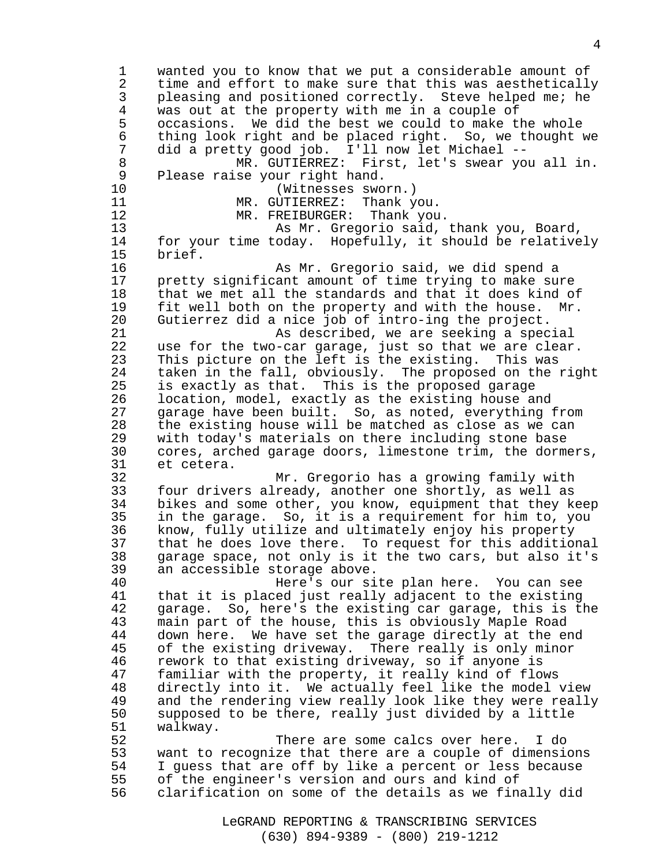1 wanted you to know that we put a considerable amount of 2 time and effort to make sure that this was aesthetically 3 pleasing and positioned correctly. Steve helped me; he<br>4 was out at the property with me in a couple of 4 was out at the property with me in a couple of occasions. We did the best we could to make the whole 6 thing look right and be placed right. So, we thought we<br>7 did a pretty good job. I'll now let Michael --7 did a pretty good job. I'll now let Michael --<br>8 MR. GUTIERREZ: First, let's swear yo MR. GUTIERREZ: First, let's swear you all in. 9 Please raise your right hand. 10 (Witnesses sworn.) 11 MR. GUTIERREZ: Thank you.<br>12 MR. FREIBURGER: Thank you MR. FREIBURGER: Thank you. 13 As Mr. Gregorio said, thank you, Board, 14 for your time today. Hopefully, it should be relatively 15 brief. 16 As Mr. Gregorio said, we did spend a 17 pretty significant amount of time trying to make sure 18 that we met all the standards and that it does kind of 19 fit well both on the property and with the house. Mr. 20 Gutierrez did a nice job of intro-ing the project. 21 As described, we are seeking a special 22 use for the two-car garage, just so that we are clear. 23 This picture on the left is the existing. This was 24 taken in the fall, obviously. The proposed on the right 25 is exactly as that. This is the proposed garage 26 location, model, exactly as the existing house and 27 garage have been built. So, as noted, everything from 28 the existing house will be matched as close as we can 29 with today's materials on there including stone base 30 cores, arched garage doors, limestone trim, the dormers, 31 et cetera. 32 Mr. Gregorio has a growing family with 33 four drivers already, another one shortly, as well as 34 bikes and some other, you know, equipment that they keep 35 in the garage. So, it is a requirement for him to, you 36 know, fully utilize and ultimately enjoy his property 37 that he does love there. To request for this additional 38 garage space, not only is it the two cars, but also it's 39 an accessible storage above. 40 Here's our site plan here. You can see<br>41 that it is placed just really adjacent to the existing that it is placed just really adjacent to the existing 42 garage. So, here's the existing car garage, this is the 43 main part of the house, this is obviously Maple Road 44 down here. We have set the garage directly at the end 45 of the existing driveway. There really is only minor 46 rework to that existing driveway, so if anyone is 47 familiar with the property, it really kind of flows 48 directly into it. We actually feel like the model view 49 and the rendering view really look like they were really 50 supposed to be there, really just divided by a little 51 walkway. 52 There are some calcs over here. I do 53 want to recognize that there are a couple of dimensions 54 I guess that are off by like a percent or less because 55 of the engineer's version and ours and kind of 56 clarification on some of the details as we finally did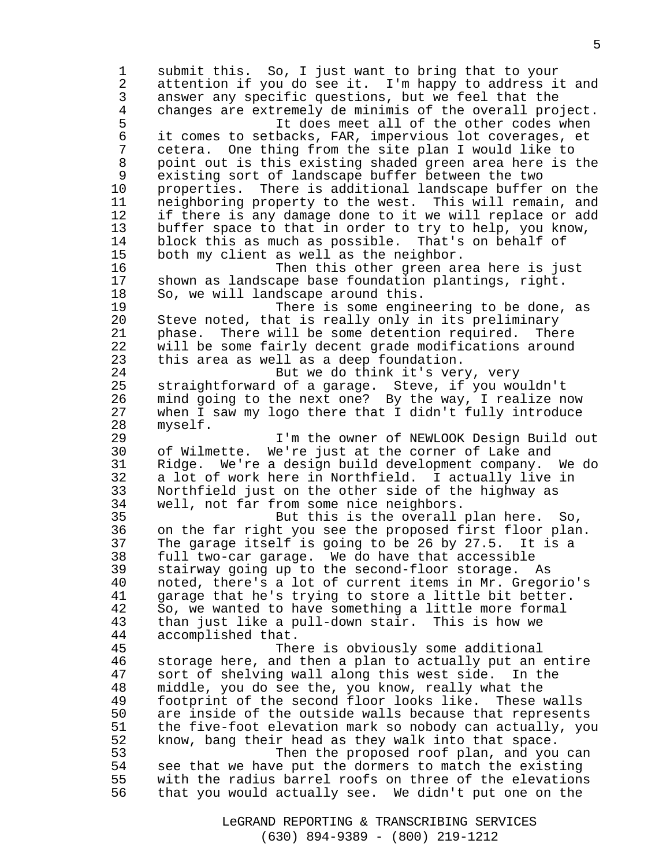1 submit this. So, I just want to bring that to your 2 attention if you do see it. I'm happy to address it and 3 answer any specific questions, but we feel that the 4 changes are extremely de minimis of the overall project. 5 It does meet all of the other codes when<br>6 it comes to setbacks, FAR, impervious lot coverages, et 6 it comes to setbacks, FAR, impervious lot coverages, et 7 cetera. One thing from the site plan I would like to 8 point out is this existing shaded green area here is the 9 existing sort of landscape buffer between the two 10 properties. There is additional landscape buffer on the 11 neighboring property to the west. This will remain, and 12 if there is any damage done to it we will replace or add 13 buffer space to that in order to try to help, you know, 14 block this as much as possible. That's on behalf of 15 both my client as well as the neighbor. 16 Then this other green area here is just 17 shown as landscape base foundation plantings, right. 18 So, we will landscape around this.<br>19 There is some engin There is some engineering to be done, as 20 Steve noted, that is really only in its preliminary 21 phase. There will be some detention required. There 22 will be some fairly decent grade modifications around 23 this area as well as a deep foundation. 24 But we do think it's very, very 25 straightforward of a garage. Steve, if you wouldn't 26 mind going to the next one? By the way, I realize now 27 when I saw my logo there that I didn't fully introduce 28 myself. 29 I'm the owner of NEWLOOK Design Build out 30 of Wilmette. We're just at the corner of Lake and 31 Ridge. We're a design build development company. We do 32 a lot of work here in Northfield. I actually live in 33 Northfield just on the other side of the highway as 34 well, not far from some nice neighbors. 35 But this is the overall plan here. So, 36 on the far right you see the proposed first floor plan. 37 The garage itself is going to be 26 by 27.5. It is a 38 full two-car garage. We do have that accessible 39 stairway going up to the second-floor storage. As 40 noted, there's a lot of current items in Mr. Gregorio's<br>41 garage that he's trying to store a little bit better. garage that he's trying to store a little bit better. 42 So, we wanted to have something a little more formal 43 than just like a pull-down stair. This is how we 44 accomplished that. 45 There is obviously some additional 46 storage here, and then a plan to actually put an entire 47 sort of shelving wall along this west side. In the 48 middle, you do see the, you know, really what the 49 footprint of the second floor looks like. These walls 50 are inside of the outside walls because that represents 51 the five-foot elevation mark so nobody can actually, you 52 know, bang their head as they walk into that space. 53 Then the proposed roof plan, and you can 54 see that we have put the dormers to match the existing 55 with the radius barrel roofs on three of the elevations 56 that you would actually see. We didn't put one on the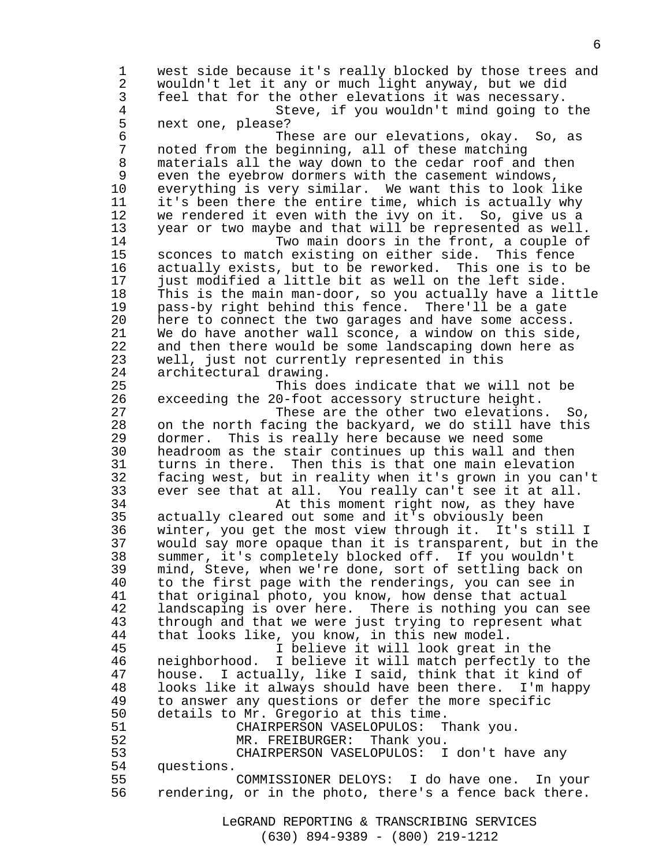1 west side because it's really blocked by those trees and 2 wouldn't let it any or much light anyway, but we did 3 feel that for the other elevations it was necessary.<br>4 Steve, if you wouldn't mind going to 4 Steve, if you wouldn't mind going to the 5 next one, please? 6 These are our elevations, okay. So, as 7 noted from the beginning, all of these matching materials all the way down to the cedar roof and then 9 even the eyebrow dormers with the casement windows, 10 everything is very similar. We want this to look like 11 it's been there the entire time, which is actually why 12 we rendered it even with the ivy on it. So, give us a 13 year or two maybe and that will be represented as well. 14 Two main doors in the front, a couple of 15 sconces to match existing on either side. This fence 16 actually exists, but to be reworked. This one is to be 17 just modified a little bit as well on the left side. 18 This is the main man-door, so you actually have a little 19 pass-by right behind this fence. There'll be a gate 20 here to connect the two garages and have some access. 21 We do have another wall sconce, a window on this side, 22 and then there would be some landscaping down here as 23 well, just not currently represented in this 24 architectural drawing. 25 This does indicate that we will not be 26 exceeding the 20-foot accessory structure height. 27 These are the other two elevations. So, 28 on the north facing the backyard, we do still have this 29 dormer. This is really here because we need some 30 headroom as the stair continues up this wall and then 31 turns in there. Then this is that one main elevation 32 facing west, but in reality when it's grown in you can't 33 ever see that at all. You really can't see it at all. 34 At this moment right now, as they have 35 actually cleared out some and it's obviously been 36 winter, you get the most view through it. It's still I 37 would say more opaque than it is transparent, but in the 38 summer, it's completely blocked off. If you wouldn't 39 mind, Steve, when we're done, sort of settling back on 40 to the first page with the renderings, you can see in 41 that original photo, you know, how dense that actual 42 landscaping is over here. There is nothing you can see 43 through and that we were just trying to represent what 44 that looks like, you know, in this new model. 45 I believe it will look great in the 46 neighborhood. I believe it will match perfectly to the 47 house. I actually, like I said, think that it kind of 48 looks like it always should have been there. I'm happy 49 to answer any questions or defer the more specific 50 details to Mr. Gregorio at this time. 51 CHAIRPERSON VASELOPULOS: Thank you. 52 MR. FREIBURGER: Thank you. 53 CHAIRPERSON VASELOPULOS: I don't have any 54 questions. 55 COMMISSIONER DELOYS: I do have one. In your 56 rendering, or in the photo, there's a fence back there.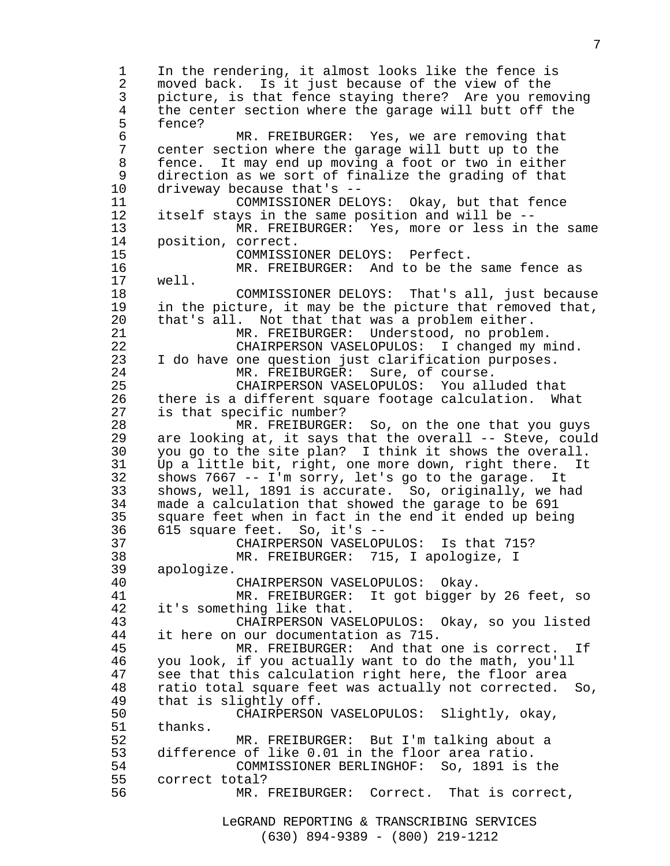LeGRAND REPORTING & TRANSCRIBING SERVICES 1 In the rendering, it almost looks like the fence is 2 moved back. Is it just because of the view of the 3 picture, is that fence staying there? Are you removing 4 the center section where the garage will butt off the<br>5 fence? 5 fence? 6 MR. FREIBURGER: Yes, we are removing that<br>7 center section where the garage will butt up to the 7 center section where the garage will butt up to the fence. It may end up moving a foot or two in either 9 direction as we sort of finalize the grading of that 10 driveway because that's -- 11 COMMISSIONER DELOYS: Okay, but that fence 12 itself stays in the same position and will be -- 13 MR. FREIBURGER: Yes, more or less in the same 14 position, correct. 15 COMMISSIONER DELOYS: Perfect. 16 MR. FREIBURGER: And to be the same fence as 17 well. 18 COMMISSIONER DELOYS: That's all, just because<br>19 in the picture, it may be the picture that removed that, in the picture, it may be the picture that removed that, 20 that's all. Not that that was a problem either. 21 MR. FREIBURGER: Understood, no problem. 22 CHAIRPERSON VASELOPULOS: I changed my mind. 23 I do have one question just clarification purposes. 24 MR. FREIBURGER: Sure, of course. 25 CHAIRPERSON VASELOPULOS: You alluded that 26 there is a different square footage calculation. What 27 is that specific number? 28 MR. FREIBURGER: So, on the one that you guys 29 are looking at, it says that the overall -- Steve, could 30 you go to the site plan? I think it shows the overall. 31 Up a little bit, right, one more down, right there. It 32 shows 7667 -- I'm sorry, let's go to the garage. It 33 shows, well, 1891 is accurate. So, originally, we had 34 made a calculation that showed the garage to be 691 35 square feet when in fact in the end it ended up being 36 615 square feet. So, it's -- 37 CHAIRPERSON VASELOPULOS: Is that 715? 38 MR. FREIBURGER: 715, I apologize, I 39 apologize. 40 CHAIRPERSON VASELOPULOS: Okay.<br>41 MR. FREIBURGER: It got bigger MR. FREIBURGER: It got bigger by 26 feet, so 42 it's something like that. 43 CHAIRPERSON VASELOPULOS: Okay, so you listed 44 it here on our documentation as 715. 45 MR. FREIBURGER: And that one is correct. If 46 you look, if you actually want to do the math, you'll 47 see that this calculation right here, the floor area 48 ratio total square feet was actually not corrected. So, 49 that is slightly off. 50 CHAIRPERSON VASELOPULOS: Slightly, okay, 51 thanks. 52 MR. FREIBURGER: But I'm talking about a 53 difference of like 0.01 in the floor area ratio. 54 COMMISSIONER BERLINGHOF: So, 1891 is the 55 correct total? 56 MR. FREIBURGER: Correct. That is correct,

(630) 894-9389 - (800) 219-1212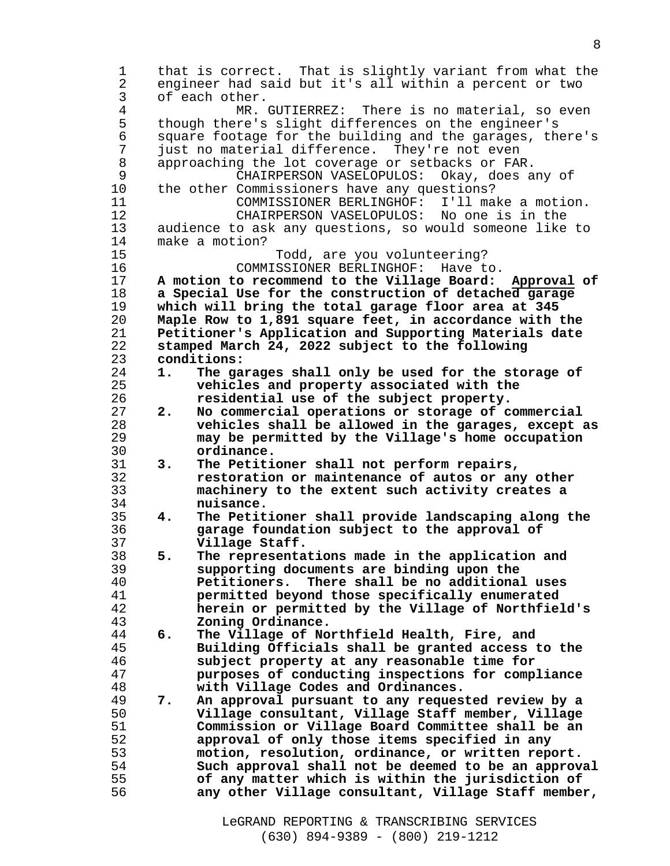1 that is correct. That is slightly variant from what the 2 engineer had said but it's all within a percent or two 3 of each other. 4 MR. GUTIERREZ: There is no material, so even 5 though there's slight differences on the engineer's 6 square footage for the building and the garages, there's<br>7 just no material difference. They're not even 7 just no material difference. They're not even 8 approaching the lot coverage or setbacks or FAR. 9 CHAIRPERSON VASELOPULOS: Okay, does any of 10 the other Commissioners have any questions? 11 COMMISSIONER BERLINGHOF: I'll make a motion. 12 CHAIRPERSON VASELOPULOS: No one is in the 13 audience to ask any questions, so would someone like to 14 make a motion? 15 Todd, are you volunteering? 16 COMMISSIONER BERLINGHOF: Have to. **A motion to recommend to the Village Board: Approval of a Special Use for the construction of detached garage which will bring the total garage floor area at 345 Maple Row to 1,891 square feet, in accordance with the Petitioner's Application and Supporting Materials date stamped March 24, 2022 subject to the following conditions: 1. The garages shall only be used for the storage of vehicles and property associated with the residential use of the subject property. 2. No commercial operations or storage of commercial vehicles shall be allowed in the garages, except as may be permitted by the Village's home occupation ordinance. 3. The Petitioner shall not perform repairs, restoration or maintenance of autos or any other machinery to the extent such activity creates a nuisance. 4. The Petitioner shall provide landscaping along the garage foundation subject to the approval of Village Staff. 5. The representations made in the application and supporting documents are binding upon the Petitioners. There shall be no additional uses permitted beyond those specifically enumerated herein or permitted by the Village of Northfield's Zoning Ordinance. 6. The Village of Northfield Health, Fire, and Building Officials shall be granted access to the subject property at any reasonable time for purposes of conducting inspections for compliance with Village Codes and Ordinances. 7. An approval pursuant to any requested review by a Village consultant, Village Staff member, Village Commission or Village Board Committee shall be an**  approval of only those items specified in any **motion, resolution, ordinance, or written report. Such approval shall not be deemed to be an approval of any matter which is within the jurisdiction of**  any other Village consultant, Village Staff member,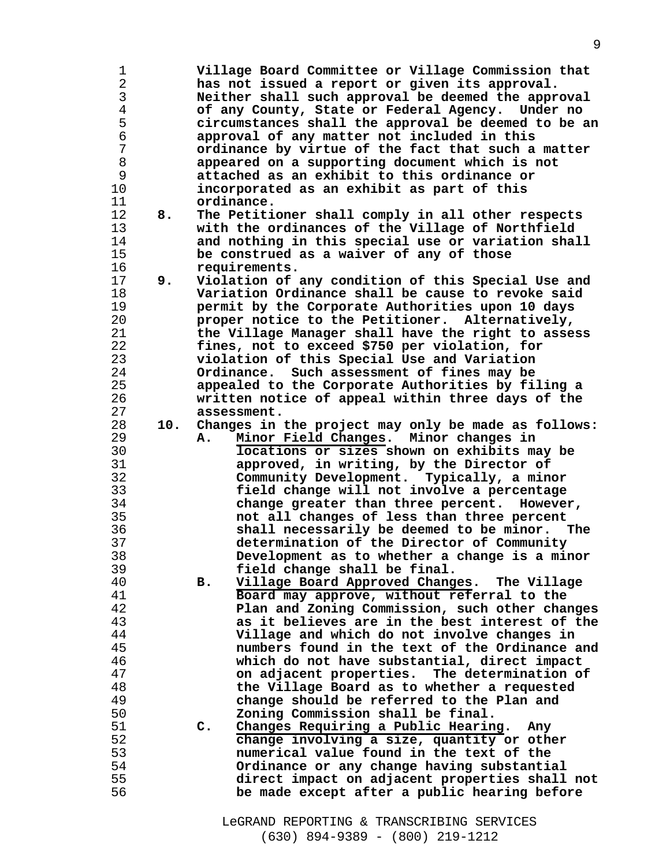| 1              |     | Village Board Committee or Village Commission that        |
|----------------|-----|-----------------------------------------------------------|
| $\overline{2}$ |     | has not issued a report or given its approval.            |
| 3              |     | Neither shall such approval be deemed the approval        |
| $\overline{4}$ |     | of any County, State or Federal Agency. Under no          |
|                |     |                                                           |
| 5              |     | circumstances shall the approval be deemed to be an       |
| 6              |     | approval of any matter not included in this               |
| 7              |     | ordinance by virtue of the fact that such a matter        |
| 8              |     | appeared on a supporting document which is not            |
| 9              |     | attached as an exhibit to this ordinance or               |
| 10             |     | incorporated as an exhibit as part of this                |
| 11             |     | ordinance.                                                |
| 12             | 8.  | The Petitioner shall comply in all other respects         |
| 13             |     | with the ordinances of the Village of Northfield          |
| 14             |     | and nothing in this special use or variation shall        |
|                |     |                                                           |
| 15             |     | be construed as a waiver of any of those                  |
| 16             |     | requirements.                                             |
| 17             | 9.  | Violation of any condition of this Special Use and        |
| 18             |     | Variation Ordinance shall be cause to revoke said         |
| 19             |     | permit by the Corporate Authorities upon 10 days          |
| 20             |     | proper notice to the Petitioner. Alternatively,           |
| 21             |     | the Village Manager shall have the right to assess        |
| 22             |     | fines, not to exceed \$750 per violation, for             |
| 23             |     | violation of this Special Use and Variation               |
| 24             |     | Ordinance. Such assessment of fines may be                |
| 25             |     | appealed to the Corporate Authorities by filing a         |
|                |     |                                                           |
| 26             |     | written notice of appeal within three days of the         |
| 27             |     | assessment.                                               |
| 28             | 10. | Changes in the project may only be made as follows:       |
| 29             |     | Minor Field Changes. Minor changes in<br>А.               |
| 30             |     | locations or sizes shown on exhibits may be               |
| 31             |     | approved, in writing, by the Director of                  |
| 32             |     | Community Development. Typically, a minor                 |
| 33             |     | field change will not involve a percentage                |
| 34             |     | change greater than three percent. However,               |
| 35             |     | not all changes of less than three percent                |
| 36             |     | shall necessarily be deemed to be minor.<br>The           |
| 37             |     | determination of the Director of Community                |
|                |     |                                                           |
| 38             |     | Development as to whether a change is a minor             |
| 39             |     | field change shall be final.                              |
| 40             |     | Village Board Approved Changes. The Village<br>в.         |
| 41             |     | Board may approve, without referral to the                |
| 42             |     | Plan and Zoning Commission, such other changes            |
| 43             |     | as it believes are in the best interest of the            |
| 44             |     | Village and which do not involve changes in               |
| 45             |     | numbers found in the text of the Ordinance and            |
| 46             |     | which do not have substantial, direct impact              |
| 47             |     | on adjacent properties. The determination of              |
| 48             |     | the Village Board as to whether a requested               |
| 49             |     | change should be referred to the Plan and                 |
|                |     |                                                           |
| 50             |     | Zoning Commission shall be final.                         |
| 51             |     | Changes Requiring a Public Hearing. Any<br>$\mathsf{C}$ . |
| 52             |     | change involving a size, quantity or other                |
| 53             |     | numerical value found in the text of the                  |
| 54             |     | Ordinance or any change having substantial                |
| 55             |     | direct impact on adjacent properties shall not            |
| 56             |     | be made except after a public hearing before              |